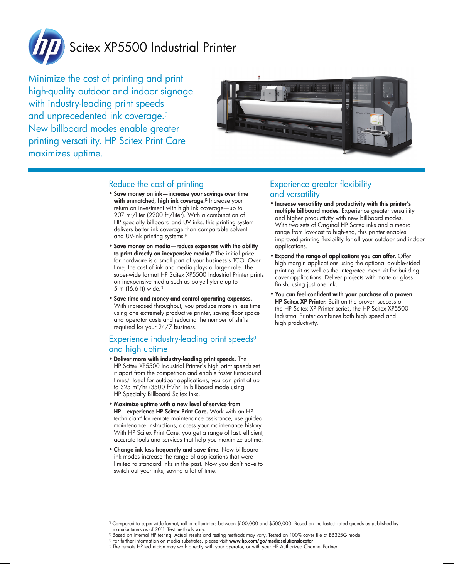

# Scitex XP5500 Industrial Printer

Minimize the cost of printing and print high-quality outdoor and indoor signage with industry-leading print speeds and unprecedented ink coverage.<sup>(1</sup> New billboard modes enable greater printing versatility. HP Scitex Print Care maximizes uptime.



### Reduce the cost of printing

- • Save money on ink—increase your savings over time with unmatched, high ink coverage.<sup>[2]</sup> Increase your return on investment with high ink coverage—up to 207 m<sup>2</sup>/liter (2200 ft<sup>2</sup>/liter). With a combination of HP specialty billboard and UV inks, this printing system delivers better ink coverage than comparable solvent and UV-ink printing systems.<sup>(2</sup>
- • Save money on media—reduce expenses with the ability to print directly on inexpensive media.<sup>(3</sup> The initial price for hardware is a small part of your business's TCO. Over time, the cost of ink and media plays a larger role. The super-wide format HP Scitex XP5500 Industrial Printer prints on inexpensive media such as polyethylene up to 5 m (16.6 ft) wide.(3
- • Save time and money and control operating expenses. With increased throughput, you produce more in less time using one extremely productive printer, saving floor space and operator costs and reducing the number of shifts required for your 24/7 business.

### Experience industry-leading print speeds<sup>(1</sup>) and high uptime

- • Deliver more with industry-leading print speeds. The HP Scitex XP5500 Industrial Printer's high print speeds set it apart from the competition and enable faster turnaround times.<sup>(1</sup> Ideal for outdoor applications, you can print at up to 325 m²/hr (3500 ft²/hr) in billboard mode using HP Specialty Billboard Scitex Inks.
- • Maximize uptime with a new level of service from HP—experience HP Scitex Print Care. Work with an HP technician(4 for remote maintenance assistance, use guided maintenance instructions, access your maintenance history. With HP Scitex Print Care, you get a range of fast, efficient, accurate tools and services that help you maximize uptime.
- Change ink less frequently and save time. New billboard ink modes increase the range of applications that were limited to standard inks in the past. Now you don't have to switch out your inks, saving a lot of time.

### Experience greater flexibility and versatility

- • Increase versatility and productivity with this printer's multiple billboard modes. Experience greater versatility and higher productivity with new billboard modes. With two sets of Original HP Scitex inks and a media range from low-cost to high-end, this printer enables improved printing flexibility for all your outdoor and indoor applications.
- Expand the range of applications you can offer. Offer high margin applications using the optional double-sided printing kit as well as the integrated mesh kit for building cover applications. Deliver projects with matte or gloss finish, using just one ink.
- • You can feel confident with your purchase of a proven HP Scitex XP Printer. Built on the proven success of the HP Scitex XP Printer series, the HP Scitex XP5500 Industrial Printer combines both high speed and high productivity.

- 2) Based on internal HP testing. Actual results and testing methods may vary. Tested on 100% cover file at BB325G mode.
- <sup>3)</sup> For further information on media substrates, please visit www.hp.com/go/mediasolutionslocator
- 4) The remote HP technician may work directly with your operator, or with your HP Authorized Channel Partner.

<sup>1)</sup> Compared to super-wide-format, roll-to-roll printers between \$100,000 and \$500,000. Based on the fastest rated speeds as published by manufacturers as of 2011. Test methods vary.